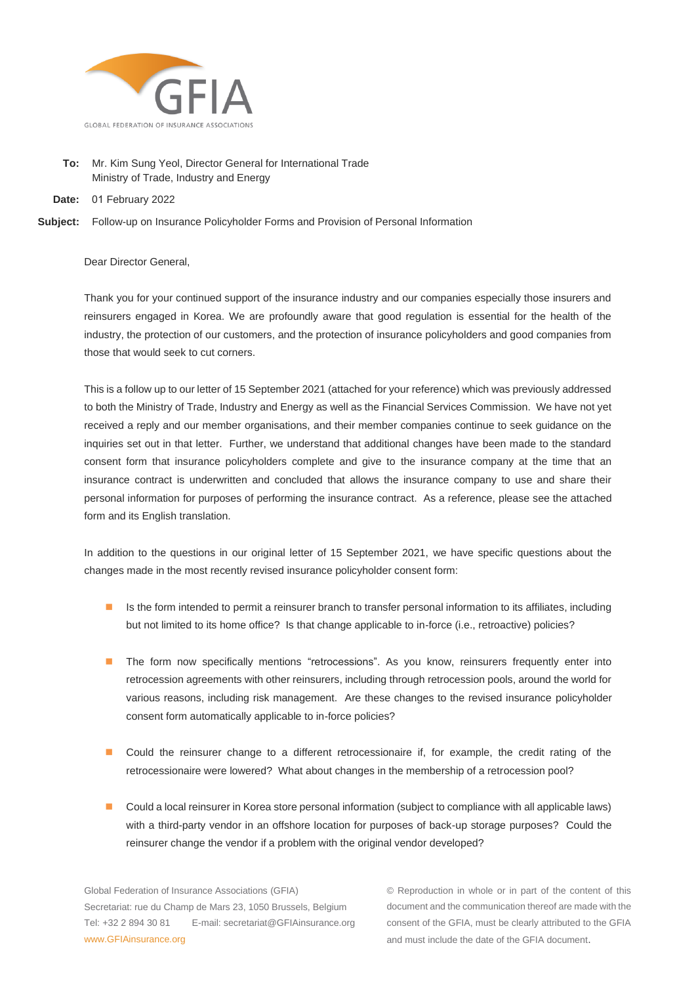

- **To:** Mr. Kim Sung Yeol, Director General for International Trade Ministry of Trade, Industry and Energy
- **Date:** 01 February 2022

**Subject:** Follow-up on Insurance Policyholder Forms and Provision of Personal Information

Dear Director General,

Thank you for your continued support of the insurance industry and our companies especially those insurers and reinsurers engaged in Korea. We are profoundly aware that good regulation is essential for the health of the industry, the protection of our customers, and the protection of insurance policyholders and good companies from those that would seek to cut corners.

This is a follow up to our letter of 15 September 2021 (attached for your reference) which was previously addressed to both the Ministry of Trade, Industry and Energy as well as the Financial Services Commission. We have not yet received a reply and our member organisations, and their member companies continue to seek guidance on the inquiries set out in that letter. Further, we understand that additional changes have been made to the standard consent form that insurance policyholders complete and give to the insurance company at the time that an insurance contract is underwritten and concluded that allows the insurance company to use and share their personal information for purposes of performing the insurance contract. As a reference, please see the attached form and its English translation.

In addition to the questions in our original letter of 15 September 2021, we have specific questions about the changes made in the most recently revised insurance policyholder consent form:

- Is the form intended to permit a reinsurer branch to transfer personal information to its affiliates, including but not limited to its home office? Is that change applicable to in-force (i.e., retroactive) policies?
- The form now specifically mentions "retrocessions". As you know, reinsurers frequently enter into retrocession agreements with other reinsurers, including through retrocession pools, around the world for various reasons, including risk management. Are these changes to the revised insurance policyholder consent form automatically applicable to in-force policies?
- Could the reinsurer change to a different retrocessionaire if, for example, the credit rating of the retrocessionaire were lowered? What about changes in the membership of a retrocession pool?
- Could a local reinsurer in Korea store personal information (subject to compliance with all applicable laws) with a third-party vendor in an offshore location for purposes of back-up storage purposes? Could the reinsurer change the vendor if a problem with the original vendor developed?

Global Federation of Insurance Associations (GFIA) Secretariat: rue du Champ de Mars 23, 1050 Brussels, Belgium Tel: +32 2 894 30 81 E-mail: secretariat@GFIAinsurance.org www.GFIAinsurance.org

© Reproduction in whole or in part of the content of this document and the communication thereof are made with the consent of the GFIA, must be clearly attributed to the GFIA and must include the date of the GFIA document.